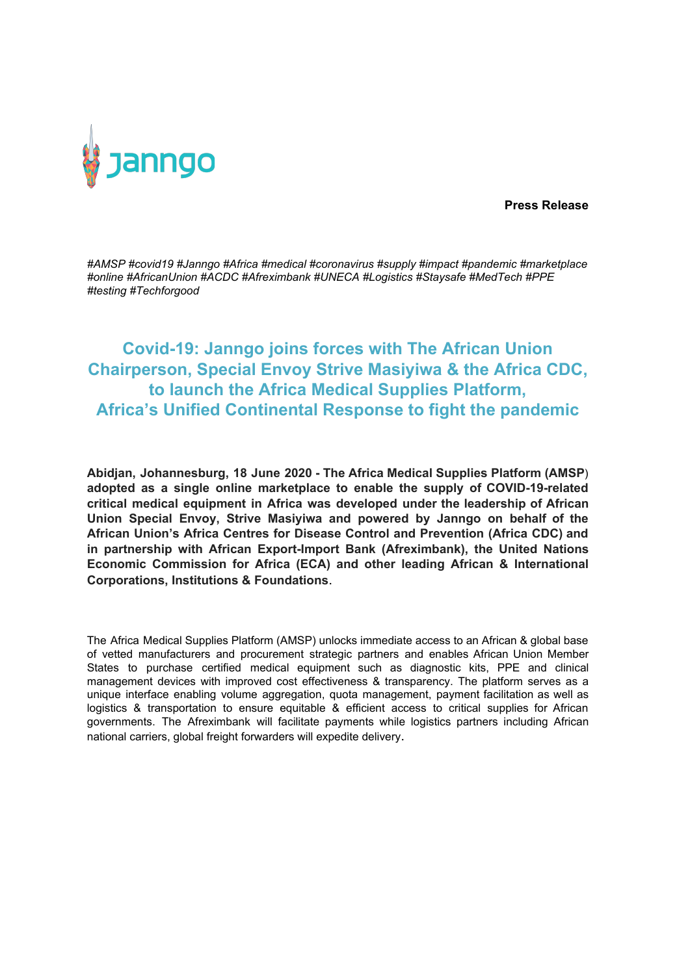

**Press Release**

*#AMSP #covid19 #Janngo #Africa #medical #coronavirus #supply #impact #pandemic #marketplace #online #AfricanUnion #ACDC #Afreximbank #UNECA #Logistics #Staysafe #MedTech #PPE #testing #Techforgood*

## **Covid-19: Janngo joins forces with The African Union Chairperson, Special Envoy Strive Masiyiwa & the Africa CDC, to launch the Africa Medical Supplies Platform, Africa's Unified Continental Response to fight the pandemic**

**Abidjan, Johannesburg, 18 June 2020 - The Africa Medical Supplies Platform (AMSP**) **adopted as a single online marketplace to enable the supply of COVID-19-related critical medical equipment in Africa was developed under the leadership of African Union Special Envoy, Strive Masiyiwa and powered by Janngo on behalf of the African Union's Africa Centres for Disease Control and Prevention (Africa CDC) and in partnership with African Export-Import Bank (Afreximbank), the United Nations Economic Commission for Africa (ECA) and other leading African & International Corporations, Institutions & Foundations**.

The Africa Medical Supplies Platform (AMSP) unlocks immediate access to an African & global base of vetted manufacturers and procurement strategic partners and enables African Union Member States to purchase certified medical equipment such as diagnostic kits, PPE and clinical management devices with improved cost effectiveness & transparency. The platform serves as a unique interface enabling volume aggregation, quota management, payment facilitation as well as logistics & transportation to ensure equitable & efficient access to critical supplies for African governments. The Afreximbank will facilitate payments while logistics partners including African national carriers, global freight forwarders will expedite delivery.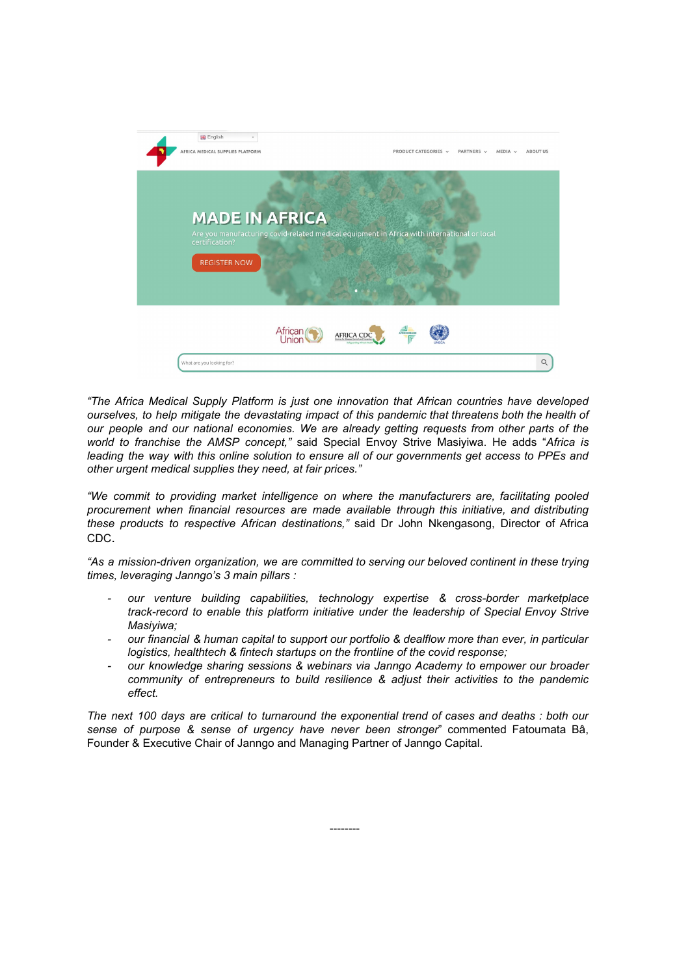

*"The Africa Medical Supply Platform is just one innovation that African countries have developed ourselves, to help mitigate the devastating impact of this pandemic that threatens both the health of our people and our national economies. We are already getting requests from other parts of the world to franchise the AMSP concept,"* said Special Envoy Strive Masiyiwa. He adds "*Africa is leading the way with this online solution to ensure all of our governments get access to PPEs and other urgent medical supplies they need, at fair prices."*

*"We commit to providing market intelligence on where the manufacturers are, facilitating pooled procurement when financial resources are made available through this initiative, and distributing these products to respective African destinations,"* said Dr John Nkengasong, Director of Africa CDC.

*"As a mission-driven organization, we are committed to serving our beloved continent in these trying times, leveraging Janngo's 3 main pillars :*

- *- our venture building capabilities, technology expertise & cross-border marketplace track-record to enable this platform initiative under the leadership of Special Envoy Strive Masiyiwa;*
- *- our financial & human capital to support our portfolio & dealflow more than ever, in particular logistics, healthtech & fintech startups on the frontline of the covid response;*
- *- our knowledge sharing sessions & webinars via Janngo Academy to empower our broader community of entrepreneurs to build resilience & adjust their activities to the pandemic effect.*

*The next 100 days are critical to turnaround the exponential trend of cases and deaths : both our sense of purpose & sense of urgency have never been stronger*" commented Fatoumata Bâ, Founder & Executive Chair of Janngo and Managing Partner of Janngo Capital.

--------